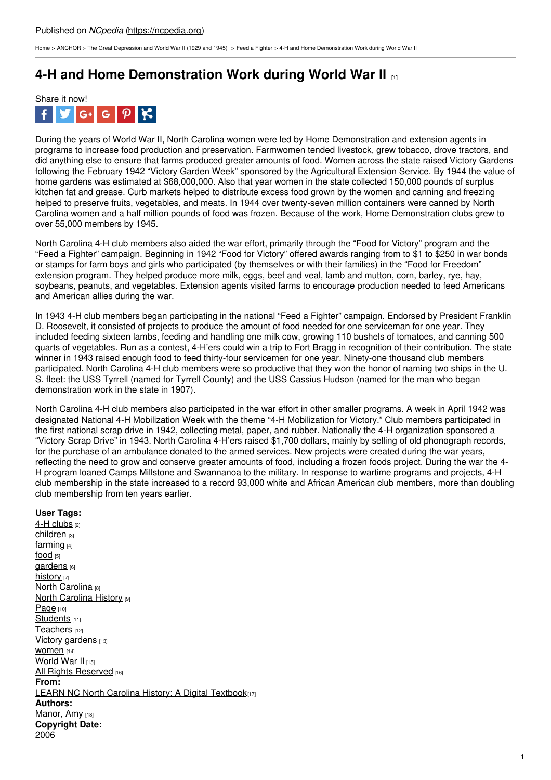[Home](https://ncpedia.org/) > [ANCHOR](https://ncpedia.org/anchor/anchor) > The Great [Depression](https://ncpedia.org/anchor/great-depression-and-world) and World War II (1929 and 1945) > Feed a [Fighter](https://ncpedia.org/anchor/feed-fighter) > 4-H and Home Demonstration Work during World War II

## **4-H and Home [Demonstration](https://ncpedia.org/anchor/4-h-and-home-demonstration) Work during World War II [1]**



During the years of World War II, North Carolina women were led by Home Demonstration and extension agents in programs to increase food production and preservation. Farmwomen tended livestock, grew tobacco, drove tractors, and did anything else to ensure that farms produced greater amounts of food. Women across the state raised Victory Gardens following the February 1942 "Victory Garden Week" sponsored by the Agricultural Extension Service. By 1944 the value of home gardens was estimated at \$68,000,000. Also that year women in the state collected 150,000 pounds of surplus kitchen fat and grease. Curb markets helped to distribute excess food grown by the women and canning and freezing helped to preserve fruits, vegetables, and meats. In 1944 over twenty-seven million containers were canned by North Carolina women and a half million pounds of food was frozen. Because of the work, Home Demonstration clubs grew to over 55,000 members by 1945.

North Carolina 4-H club members also [aided](http://www.social9.com) the war effort, primarily through the "Food for Victory" program and the "Feed a Fighter" campaign. Beginning in 1942 "Food for Victory" offered awards ranging from to \$1 to \$250 in war bonds or stamps for farm boys and girls who participated (by themselves or with their families) in the "Food for Freedom" extension program. They helped produce more milk, eggs, beef and veal, lamb and mutton, corn, barley, rye, hay, soybeans, peanuts, and vegetables. Extension agents visited farms to encourage production needed to feed Americans and American allies during the war.

In 1943 4-H club members began participating in the national "Feed a Fighter" campaign. Endorsed by President Franklin D. Roosevelt, it consisted of projects to produce the amount of food needed for one serviceman for one year. They included feeding sixteen lambs, feeding and handling one milk cow, growing 110 bushels of tomatoes, and canning 500 quarts of vegetables. Run as a contest, 4-H'ers could win a trip to Fort Bragg in recognition of their contribution. The state winner in 1943 raised enough food to feed thirty-four servicemen for one year. Ninety-one thousand club members participated. North Carolina 4-H club members were so productive that they won the honor of naming two ships in the U. S. fleet: the USS Tyrrell (named for Tyrrell County) and the USS Cassius Hudson (named for the man who began demonstration work in the state in 1907).

North Carolina 4-H club members also participated in the war effort in other smaller programs. A week in April 1942 was designated National 4-H Mobilization Week with the theme "4-H Mobilization for Victory." Club members participated in the first national scrap drive in 1942, collecting metal, paper, and rubber. Nationally the 4-H organization sponsored a "Victory Scrap Drive" in 1943. North Carolina 4-H'ers raised \$1,700 dollars, mainly by selling of old phonograph records, for the purchase of an ambulance donated to the armed services. New projects were created during the war years, reflecting the need to grow and conserve greater amounts of food, including a frozen foods project. During the war the 4- H program loaned Camps Millstone and Swannanoa to the military. In response to wartime programs and projects, 4-H club membership in the state increased to a record 93,000 white and African American club members, more than doubling club membership from ten years earlier.

## **User Tags:**

4-H [clubs](https://ncpedia.org/category/user-tags/4-h-clubs) [2] [children](https://ncpedia.org/category/user-tags/children) [3] [farming](https://ncpedia.org/category/user-tags/farming) [4] [food](https://ncpedia.org/category/user-tags/food) [5] [gardens](https://ncpedia.org/category/user-tags/gardens) [6] [history](https://ncpedia.org/category/user-tags/history) [7] North [Carolina](https://ncpedia.org/category/user-tags/north-carolina-5) [8] **North [Carolina](https://ncpedia.org/category/user-tags/north-carolina-6) History [9]** [Page](https://ncpedia.org/category/user-tags/page) [10] [Students](https://ncpedia.org/category/user-tags/students) [11] [Teachers](https://ncpedia.org/category/user-tags/teachers) [12] Victory [gardens](https://ncpedia.org/category/user-tags/victory-gardens) [13] WOM<sub>en [14]</sub> [World](https://ncpedia.org/category/user-tags/world-war-ii) War II [15] All Rights [Reserved](https://ncpedia.org/category/user-tags/all-rights) [16] **From:** LEARN NC North Carolina History: A Digital [Textbook](https://ncpedia.org/category/entry-source/learn-nc)[17] **Authors:** [Manor,](https://ncpedia.org/category/authors/manor-amy-0) Amy [18] **Copyright Date:** 2006